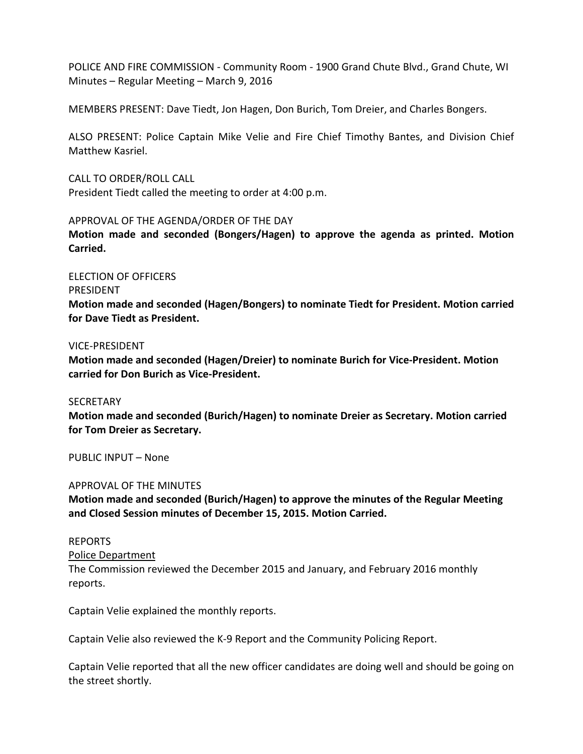POLICE AND FIRE COMMISSION - Community Room - 1900 Grand Chute Blvd., Grand Chute, WI Minutes – Regular Meeting – March 9, 2016

MEMBERS PRESENT: Dave Tiedt, Jon Hagen, Don Burich, Tom Dreier, and Charles Bongers.

ALSO PRESENT: Police Captain Mike Velie and Fire Chief Timothy Bantes, and Division Chief Matthew Kasriel.

CALL TO ORDER/ROLL CALL President Tiedt called the meeting to order at 4:00 p.m.

APPROVAL OF THE AGENDA/ORDER OF THE DAY

**Motion made and seconded (Bongers/Hagen) to approve the agenda as printed. Motion Carried.**

ELECTION OF OFFICERS PRESIDENT **Motion made and seconded (Hagen/Bongers) to nominate Tiedt for President. Motion carried for Dave Tiedt as President.** 

## VICE-PRESIDENT

**Motion made and seconded (Hagen/Dreier) to nominate Burich for Vice-President. Motion carried for Don Burich as Vice-President.** 

**SECRETARY** 

**Motion made and seconded (Burich/Hagen) to nominate Dreier as Secretary. Motion carried for Tom Dreier as Secretary.** 

PUBLIC INPUT – None

## APPROVAL OF THE MINUTES

**Motion made and seconded (Burich/Hagen) to approve the minutes of the Regular Meeting and Closed Session minutes of December 15, 2015. Motion Carried.** 

## REPORTS

Police Department

The Commission reviewed the December 2015 and January, and February 2016 monthly reports.

Captain Velie explained the monthly reports.

Captain Velie also reviewed the K-9 Report and the Community Policing Report.

Captain Velie reported that all the new officer candidates are doing well and should be going on the street shortly.